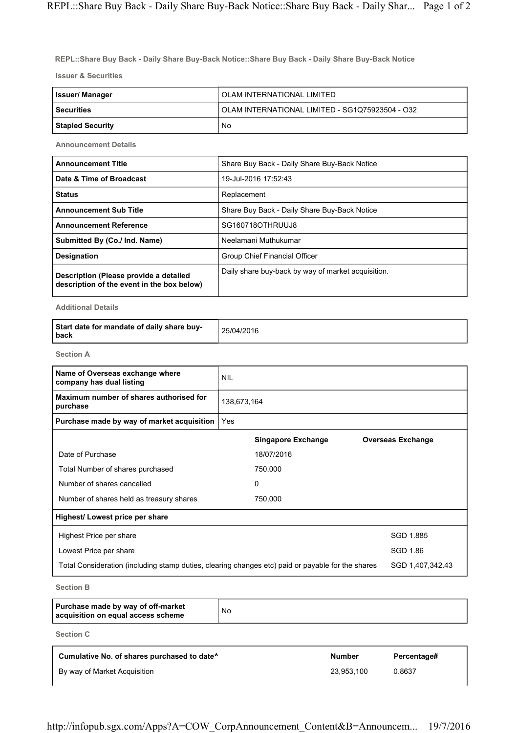REPL::Share Buy Back - Daily Share Buy-Back Notice::Share Buy Back - Daily Share Buy-Back Notice

Issuer & Securities

| <b>Issuer/Manager</b>   | OLAM INTERNATIONAL LIMITED                      |  |
|-------------------------|-------------------------------------------------|--|
| l Securities            | OLAM INTERNATIONAL LIMITED - SG1Q75923504 - O32 |  |
| <b>Stapled Security</b> | No                                              |  |

Announcement Details

| <b>Announcement Title</b><br>Share Buy Back - Daily Share Buy-Back Notice            |                                                    |
|--------------------------------------------------------------------------------------|----------------------------------------------------|
| Date & Time of Broadcast                                                             | 19-Jul-2016 17:52:43                               |
| <b>Status</b>                                                                        | Replacement                                        |
| <b>Announcement Sub Title</b>                                                        | Share Buy Back - Daily Share Buy-Back Notice       |
| <b>Announcement Reference</b>                                                        | SG160718OTHRUUJ8                                   |
| Submitted By (Co./ Ind. Name)                                                        | Neelamani Muthukumar                               |
| <b>Designation</b>                                                                   | Group Chief Financial Officer                      |
| Description (Please provide a detailed<br>description of the event in the box below) | Daily share buy-back by way of market acquisition. |

Additional Details

| Start date for mandate of daily share buy-<br>back | 25/04/2016 |
|----------------------------------------------------|------------|
|----------------------------------------------------|------------|

## Section A

| Name of Overseas exchange where<br>company has dual listing                                       | <b>NIL</b>  |                           |                          |
|---------------------------------------------------------------------------------------------------|-------------|---------------------------|--------------------------|
| Maximum number of shares authorised for<br>purchase                                               | 138,673,164 |                           |                          |
| Purchase made by way of market acquisition                                                        | <b>Yes</b>  |                           |                          |
|                                                                                                   |             | <b>Singapore Exchange</b> | <b>Overseas Exchange</b> |
| Date of Purchase                                                                                  |             | 18/07/2016                |                          |
| Total Number of shares purchased                                                                  |             | 750,000                   |                          |
| Number of shares cancelled                                                                        |             | 0                         |                          |
| Number of shares held as treasury shares                                                          |             | 750,000                   |                          |
| Highest/ Lowest price per share                                                                   |             |                           |                          |
| Highest Price per share                                                                           |             |                           | SGD 1.885                |
| Lowest Price per share                                                                            |             |                           | SGD 1.86                 |
| Total Consideration (including stamp duties, clearing changes etc) paid or payable for the shares |             |                           | SGD 1,407,342.43         |

Section B

| Purchase made by way of off-market<br>acquisition on equal access scheme | No |
|--------------------------------------------------------------------------|----|
|--------------------------------------------------------------------------|----|

Section C

| Cumulative No. of shares purchased to date <sup>^</sup> | <b>Number</b> | Percentage# |
|---------------------------------------------------------|---------------|-------------|
| By way of Market Acquisition                            | 23.953.100    | 0.8637      |